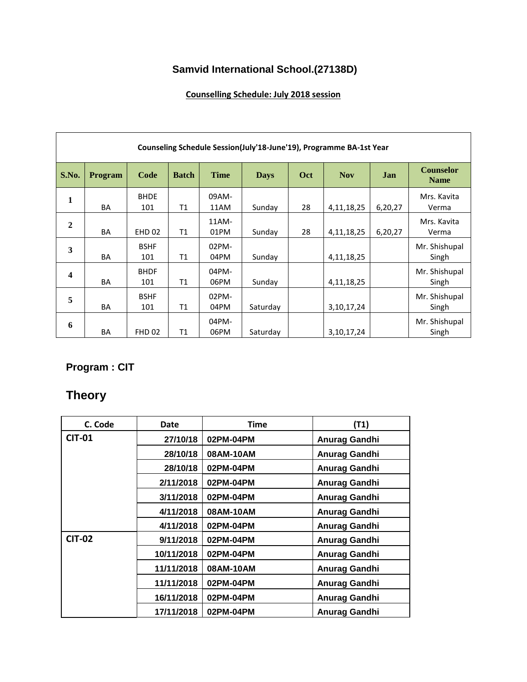# **Samvid International School.(27138D)**

#### **Counselling Schedule: July 2018 session**

| Counseling Schedule Session(July'18-June'19), Programme BA-1st Year |                |                    |              |               |             |     |               |         |                                 |
|---------------------------------------------------------------------|----------------|--------------------|--------------|---------------|-------------|-----|---------------|---------|---------------------------------|
| S.No.                                                               | <b>Program</b> | Code               | <b>Batch</b> | <b>Time</b>   | <b>Days</b> | Oct | <b>Nov</b>    | Jan     | <b>Counselor</b><br><b>Name</b> |
| 1                                                                   | <b>BA</b>      | <b>BHDE</b><br>101 | T1           | 09AM-<br>11AM | Sunday      | 28  | 4, 11, 18, 25 | 6,20,27 | Mrs. Kavita<br>Verma            |
| $\overline{2}$                                                      | <b>BA</b>      | <b>EHD 02</b>      | T1           | 11AM-<br>01PM | Sunday      | 28  | 4,11,18,25    | 6,20,27 | Mrs. Kavita<br>Verma            |
| 3                                                                   | <b>BA</b>      | <b>BSHF</b><br>101 | T1           | 02PM-<br>04PM | Sunday      |     | 4, 11, 18, 25 |         | Mr. Shishupal<br>Singh          |
| $\boldsymbol{4}$                                                    | <b>BA</b>      | <b>BHDF</b><br>101 | T1           | 04PM-<br>06PM | Sunday      |     | 4, 11, 18, 25 |         | Mr. Shishupal<br>Singh          |
| 5                                                                   | <b>BA</b>      | <b>BSHF</b><br>101 | T1           | 02PM-<br>04PM | Saturday    |     | 3, 10, 17, 24 |         | Mr. Shishupal<br>Singh          |
| 6                                                                   | <b>BA</b>      | <b>FHD 02</b>      | <b>T1</b>    | 04PM-<br>06PM | Saturday    |     | 3, 10, 17, 24 |         | Mr. Shishupal<br>Singh          |

# **Program : CIT**

# **Theory**

| C. Code       | <b>Date</b> | Time      | (T1)          |
|---------------|-------------|-----------|---------------|
| <b>CIT-01</b> | 27/10/18    | 02PM-04PM | Anurag Gandhi |
|               | 28/10/18    | 08AM-10AM | Anurag Gandhi |
|               | 28/10/18    | 02PM-04PM | Anurag Gandhi |
|               | 2/11/2018   | 02PM-04PM | Anurag Gandhi |
|               | 3/11/2018   | 02PM-04PM | Anurag Gandhi |
|               | 4/11/2018   | 08AM-10AM | Anurag Gandhi |
|               | 4/11/2018   | 02PM-04PM | Anurag Gandhi |
| <b>CIT-02</b> | 9/11/2018   | 02PM-04PM | Anurag Gandhi |
|               | 10/11/2018  | 02PM-04PM | Anurag Gandhi |
|               | 11/11/2018  | 08AM-10AM | Anurag Gandhi |
|               | 11/11/2018  | 02PM-04PM | Anurag Gandhi |
|               | 16/11/2018  | 02PM-04PM | Anurag Gandhi |
|               | 17/11/2018  | 02PM-04PM | Anurag Gandhi |